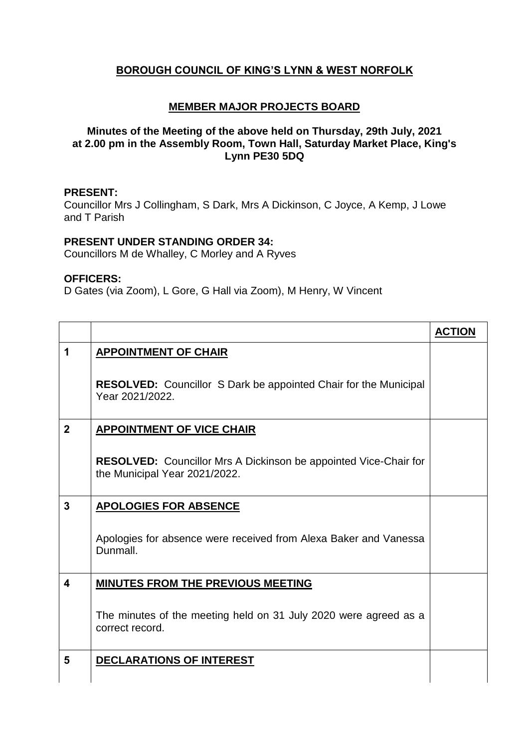# **BOROUGH COUNCIL OF KING'S LYNN & WEST NORFOLK**

## **MEMBER MAJOR PROJECTS BOARD**

## **Minutes of the Meeting of the above held on Thursday, 29th July, 2021 at 2.00 pm in the Assembly Room, Town Hall, Saturday Market Place, King's Lynn PE30 5DQ**

#### **PRESENT:**

Councillor Mrs J Collingham, S Dark, Mrs A Dickinson, C Joyce, A Kemp, J Lowe and T Parish

### **PRESENT UNDER STANDING ORDER 34:**

Councillors M de Whalley, C Morley and A Ryves

#### **OFFICERS:**

D Gates (via Zoom), L Gore, G Hall via Zoom), M Henry, W Vincent

|                         |                                                                                                          | <b>ACTION</b> |
|-------------------------|----------------------------------------------------------------------------------------------------------|---------------|
| 1                       | <b>APPOINTMENT OF CHAIR</b>                                                                              |               |
|                         | RESOLVED: Councillor S Dark be appointed Chair for the Municipal<br>Year 2021/2022.                      |               |
| $\mathbf{2}$            | <b>APPOINTMENT OF VICE CHAIR</b>                                                                         |               |
|                         | <b>RESOLVED:</b> Councillor Mrs A Dickinson be appointed Vice-Chair for<br>the Municipal Year 2021/2022. |               |
| 3                       | <b>APOLOGIES FOR ABSENCE</b>                                                                             |               |
|                         | Apologies for absence were received from Alexa Baker and Vanessa<br>Dunmall.                             |               |
| $\overline{\mathbf{4}}$ | <b>MINUTES FROM THE PREVIOUS MEETING</b>                                                                 |               |
|                         | The minutes of the meeting held on 31 July 2020 were agreed as a<br>correct record.                      |               |
| 5                       | DECLARATIONS OF INTEREST                                                                                 |               |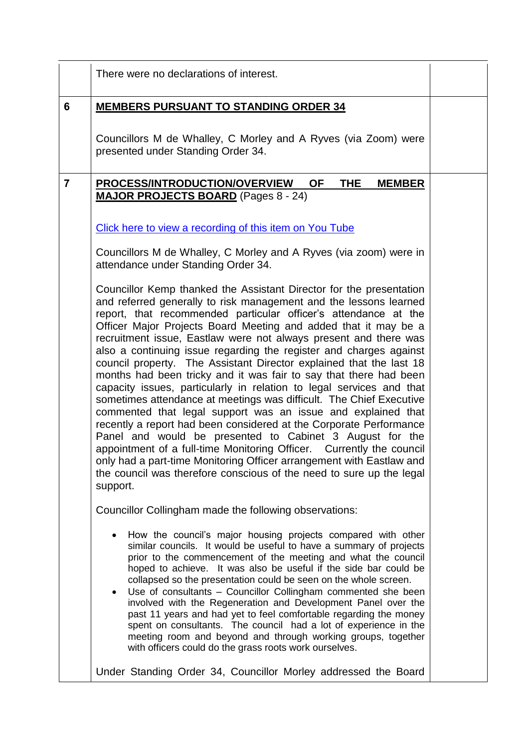|                | There were no declarations of interest.                                                                                                                                                                                                                                                                                                                                                                                                                                                                                                                                                                                                                                                                                                                                                                                                                                                                                                                                                                                                                                                                                                                    |  |
|----------------|------------------------------------------------------------------------------------------------------------------------------------------------------------------------------------------------------------------------------------------------------------------------------------------------------------------------------------------------------------------------------------------------------------------------------------------------------------------------------------------------------------------------------------------------------------------------------------------------------------------------------------------------------------------------------------------------------------------------------------------------------------------------------------------------------------------------------------------------------------------------------------------------------------------------------------------------------------------------------------------------------------------------------------------------------------------------------------------------------------------------------------------------------------|--|
| 6              | <b>MEMBERS PURSUANT TO STANDING ORDER 34</b>                                                                                                                                                                                                                                                                                                                                                                                                                                                                                                                                                                                                                                                                                                                                                                                                                                                                                                                                                                                                                                                                                                               |  |
|                | Councillors M de Whalley, C Morley and A Ryves (via Zoom) were<br>presented under Standing Order 34.                                                                                                                                                                                                                                                                                                                                                                                                                                                                                                                                                                                                                                                                                                                                                                                                                                                                                                                                                                                                                                                       |  |
| $\overline{7}$ | <b>PROCESS/INTRODUCTION/OVERVIEW</b><br><b>OF</b><br><b>THE</b><br><b>MEMBER</b><br><b>MAJOR PROJECTS BOARD</b> (Pages 8 - 24)                                                                                                                                                                                                                                                                                                                                                                                                                                                                                                                                                                                                                                                                                                                                                                                                                                                                                                                                                                                                                             |  |
|                | Click here to view a recording of this item on You Tube                                                                                                                                                                                                                                                                                                                                                                                                                                                                                                                                                                                                                                                                                                                                                                                                                                                                                                                                                                                                                                                                                                    |  |
|                | Councillors M de Whalley, C Morley and A Ryves (via zoom) were in<br>attendance under Standing Order 34.                                                                                                                                                                                                                                                                                                                                                                                                                                                                                                                                                                                                                                                                                                                                                                                                                                                                                                                                                                                                                                                   |  |
|                | Councillor Kemp thanked the Assistant Director for the presentation<br>and referred generally to risk management and the lessons learned<br>report, that recommended particular officer's attendance at the<br>Officer Major Projects Board Meeting and added that it may be a<br>recruitment issue, Eastlaw were not always present and there was<br>also a continuing issue regarding the register and charges against<br>council property. The Assistant Director explained that the last 18<br>months had been tricky and it was fair to say that there had been<br>capacity issues, particularly in relation to legal services and that<br>sometimes attendance at meetings was difficult. The Chief Executive<br>commented that legal support was an issue and explained that<br>recently a report had been considered at the Corporate Performance<br>Panel and would be presented to Cabinet 3 August for the<br>appointment of a full-time Monitoring Officer.  Currently the council<br>only had a part-time Monitoring Officer arrangement with Eastlaw and<br>the council was therefore conscious of the need to sure up the legal<br>support. |  |
|                | Councillor Collingham made the following observations:                                                                                                                                                                                                                                                                                                                                                                                                                                                                                                                                                                                                                                                                                                                                                                                                                                                                                                                                                                                                                                                                                                     |  |
|                | How the council's major housing projects compared with other<br>similar councils. It would be useful to have a summary of projects<br>prior to the commencement of the meeting and what the council<br>hoped to achieve. It was also be useful if the side bar could be<br>collapsed so the presentation could be seen on the whole screen.<br>Use of consultants - Councillor Collingham commented she been<br>$\bullet$<br>involved with the Regeneration and Development Panel over the<br>past 11 years and had yet to feel comfortable regarding the money<br>spent on consultants. The council had a lot of experience in the<br>meeting room and beyond and through working groups, together<br>with officers could do the grass roots work ourselves.                                                                                                                                                                                                                                                                                                                                                                                              |  |
|                | Under Standing Order 34, Councillor Morley addressed the Board                                                                                                                                                                                                                                                                                                                                                                                                                                                                                                                                                                                                                                                                                                                                                                                                                                                                                                                                                                                                                                                                                             |  |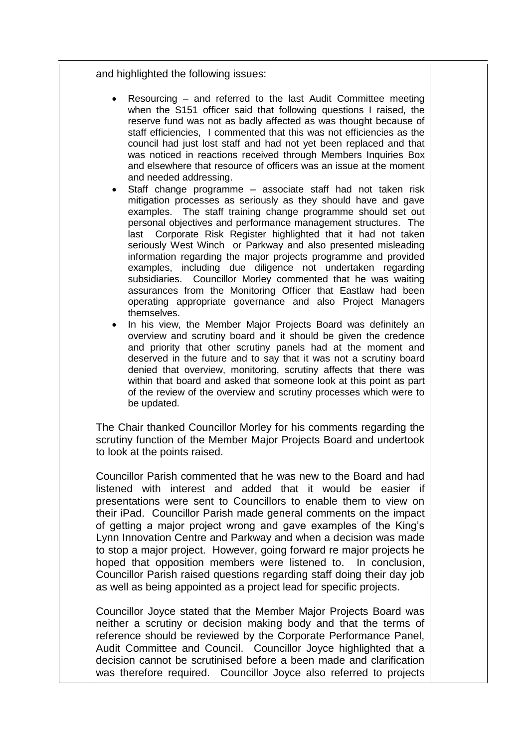and highlighted the following issues:

- Resourcing and referred to the last Audit Committee meeting when the S151 officer said that following questions I raised, the reserve fund was not as badly affected as was thought because of staff efficiencies, I commented that this was not efficiencies as the council had just lost staff and had not yet been replaced and that was noticed in reactions received through Members Inquiries Box and elsewhere that resource of officers was an issue at the moment and needed addressing.
- Staff change programme associate staff had not taken risk mitigation processes as seriously as they should have and gave examples. The staff training change programme should set out personal objectives and performance management structures. The last Corporate Risk Register highlighted that it had not taken seriously West Winch or Parkway and also presented misleading information regarding the major projects programme and provided examples, including due diligence not undertaken regarding subsidiaries. Councillor Morley commented that he was waiting assurances from the Monitoring Officer that Eastlaw had been operating appropriate governance and also Project Managers themselves.
- In his view, the Member Major Projects Board was definitely an overview and scrutiny board and it should be given the credence and priority that other scrutiny panels had at the moment and deserved in the future and to say that it was not a scrutiny board denied that overview, monitoring, scrutiny affects that there was within that board and asked that someone look at this point as part of the review of the overview and scrutiny processes which were to be updated.

The Chair thanked Councillor Morley for his comments regarding the scrutiny function of the Member Major Projects Board and undertook to look at the points raised.

Councillor Parish commented that he was new to the Board and had listened with interest and added that it would be easier if presentations were sent to Councillors to enable them to view on their iPad. Councillor Parish made general comments on the impact of getting a major project wrong and gave examples of the King's Lynn Innovation Centre and Parkway and when a decision was made to stop a major project. However, going forward re major projects he hoped that opposition members were listened to. In conclusion, Councillor Parish raised questions regarding staff doing their day job as well as being appointed as a project lead for specific projects.

Councillor Joyce stated that the Member Major Projects Board was neither a scrutiny or decision making body and that the terms of reference should be reviewed by the Corporate Performance Panel, Audit Committee and Council. Councillor Joyce highlighted that a decision cannot be scrutinised before a been made and clarification was therefore required. Councillor Joyce also referred to projects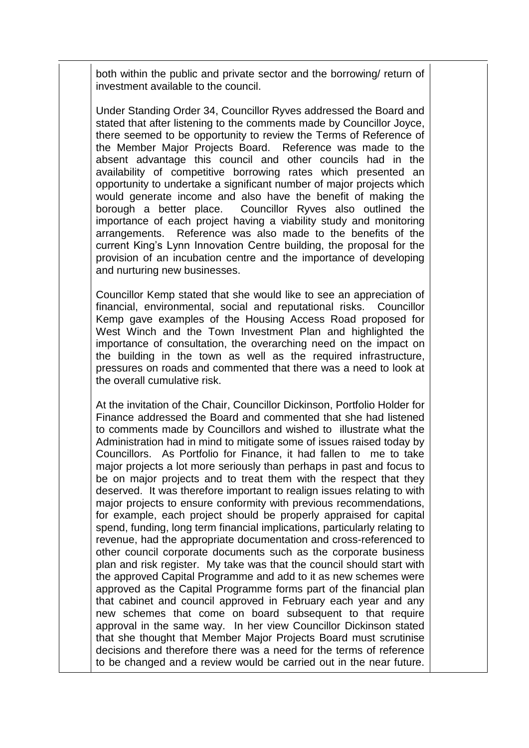both within the public and private sector and the borrowing/ return of investment available to the council.

Under Standing Order 34, Councillor Ryves addressed the Board and stated that after listening to the comments made by Councillor Joyce, there seemed to be opportunity to review the Terms of Reference of the Member Major Projects Board. Reference was made to the absent advantage this council and other councils had in the availability of competitive borrowing rates which presented an opportunity to undertake a significant number of major projects which would generate income and also have the benefit of making the borough a better place. Councillor Ryves also outlined the importance of each project having a viability study and monitoring arrangements. Reference was also made to the benefits of the current King's Lynn Innovation Centre building, the proposal for the provision of an incubation centre and the importance of developing and nurturing new businesses.

Councillor Kemp stated that she would like to see an appreciation of financial, environmental, social and reputational risks. Councillor Kemp gave examples of the Housing Access Road proposed for West Winch and the Town Investment Plan and highlighted the importance of consultation, the overarching need on the impact on the building in the town as well as the required infrastructure, pressures on roads and commented that there was a need to look at the overall cumulative risk.

At the invitation of the Chair, Councillor Dickinson, Portfolio Holder for Finance addressed the Board and commented that she had listened to comments made by Councillors and wished to illustrate what the Administration had in mind to mitigate some of issues raised today by Councillors. As Portfolio for Finance, it had fallen to me to take major projects a lot more seriously than perhaps in past and focus to be on major projects and to treat them with the respect that they deserved. It was therefore important to realign issues relating to with major projects to ensure conformity with previous recommendations, for example, each project should be properly appraised for capital spend, funding, long term financial implications, particularly relating to revenue, had the appropriate documentation and cross-referenced to other council corporate documents such as the corporate business plan and risk register. My take was that the council should start with the approved Capital Programme and add to it as new schemes were approved as the Capital Programme forms part of the financial plan that cabinet and council approved in February each year and any new schemes that come on board subsequent to that require approval in the same way. In her view Councillor Dickinson stated that she thought that Member Major Projects Board must scrutinise decisions and therefore there was a need for the terms of reference to be changed and a review would be carried out in the near future.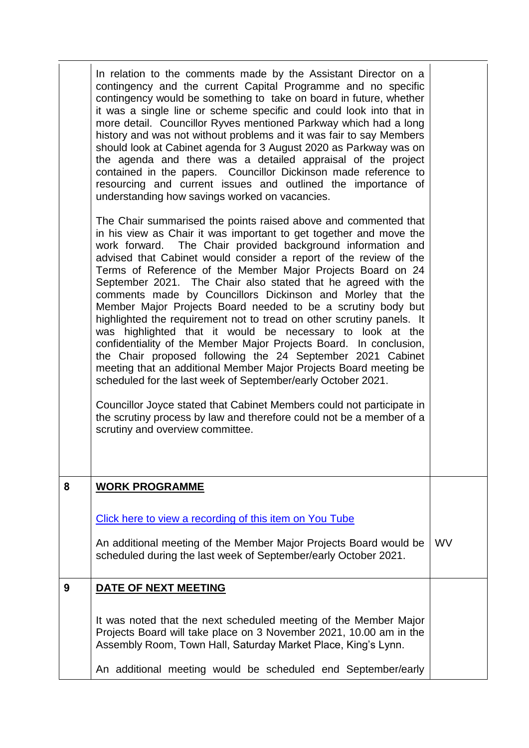|   | In relation to the comments made by the Assistant Director on a<br>contingency and the current Capital Programme and no specific<br>contingency would be something to take on board in future, whether<br>it was a single line or scheme specific and could look into that in<br>more detail. Councillor Ryves mentioned Parkway which had a long<br>history and was not without problems and it was fair to say Members<br>should look at Cabinet agenda for 3 August 2020 as Parkway was on<br>the agenda and there was a detailed appraisal of the project<br>contained in the papers. Councillor Dickinson made reference to<br>resourcing and current issues and outlined the importance of<br>understanding how savings worked on vacancies.<br>The Chair summarised the points raised above and commented that<br>in his view as Chair it was important to get together and move the<br>work forward. The Chair provided background information and<br>advised that Cabinet would consider a report of the review of the<br>Terms of Reference of the Member Major Projects Board on 24<br>September 2021. The Chair also stated that he agreed with the<br>comments made by Councillors Dickinson and Morley that the<br>Member Major Projects Board needed to be a scrutiny body but<br>highlighted the requirement not to tread on other scrutiny panels. It<br>was highlighted that it would be necessary to look at the<br>confidentiality of the Member Major Projects Board. In conclusion,<br>the Chair proposed following the 24 September 2021 Cabinet<br>meeting that an additional Member Major Projects Board meeting be<br>scheduled for the last week of September/early October 2021.<br>Councillor Joyce stated that Cabinet Members could not participate in<br>the scrutiny process by law and therefore could not be a member of a<br>scrutiny and overview committee. |           |
|---|---------------------------------------------------------------------------------------------------------------------------------------------------------------------------------------------------------------------------------------------------------------------------------------------------------------------------------------------------------------------------------------------------------------------------------------------------------------------------------------------------------------------------------------------------------------------------------------------------------------------------------------------------------------------------------------------------------------------------------------------------------------------------------------------------------------------------------------------------------------------------------------------------------------------------------------------------------------------------------------------------------------------------------------------------------------------------------------------------------------------------------------------------------------------------------------------------------------------------------------------------------------------------------------------------------------------------------------------------------------------------------------------------------------------------------------------------------------------------------------------------------------------------------------------------------------------------------------------------------------------------------------------------------------------------------------------------------------------------------------------------------------------------------------------------------------------------------------------------------------------------------------------------|-----------|
| 8 | <b>WORK PROGRAMME</b>                                                                                                                                                                                                                                                                                                                                                                                                                                                                                                                                                                                                                                                                                                                                                                                                                                                                                                                                                                                                                                                                                                                                                                                                                                                                                                                                                                                                                                                                                                                                                                                                                                                                                                                                                                                                                                                                             |           |
|   | Click here to view a recording of this item on You Tube                                                                                                                                                                                                                                                                                                                                                                                                                                                                                                                                                                                                                                                                                                                                                                                                                                                                                                                                                                                                                                                                                                                                                                                                                                                                                                                                                                                                                                                                                                                                                                                                                                                                                                                                                                                                                                           |           |
|   | An additional meeting of the Member Major Projects Board would be<br>scheduled during the last week of September/early October 2021.                                                                                                                                                                                                                                                                                                                                                                                                                                                                                                                                                                                                                                                                                                                                                                                                                                                                                                                                                                                                                                                                                                                                                                                                                                                                                                                                                                                                                                                                                                                                                                                                                                                                                                                                                              | <b>WV</b> |
| 9 | DATE OF NEXT MEETING                                                                                                                                                                                                                                                                                                                                                                                                                                                                                                                                                                                                                                                                                                                                                                                                                                                                                                                                                                                                                                                                                                                                                                                                                                                                                                                                                                                                                                                                                                                                                                                                                                                                                                                                                                                                                                                                              |           |
|   | It was noted that the next scheduled meeting of the Member Major<br>Projects Board will take place on 3 November 2021, 10.00 am in the<br>Assembly Room, Town Hall, Saturday Market Place, King's Lynn.                                                                                                                                                                                                                                                                                                                                                                                                                                                                                                                                                                                                                                                                                                                                                                                                                                                                                                                                                                                                                                                                                                                                                                                                                                                                                                                                                                                                                                                                                                                                                                                                                                                                                           |           |
|   | An additional meeting would be scheduled end September/early                                                                                                                                                                                                                                                                                                                                                                                                                                                                                                                                                                                                                                                                                                                                                                                                                                                                                                                                                                                                                                                                                                                                                                                                                                                                                                                                                                                                                                                                                                                                                                                                                                                                                                                                                                                                                                      |           |